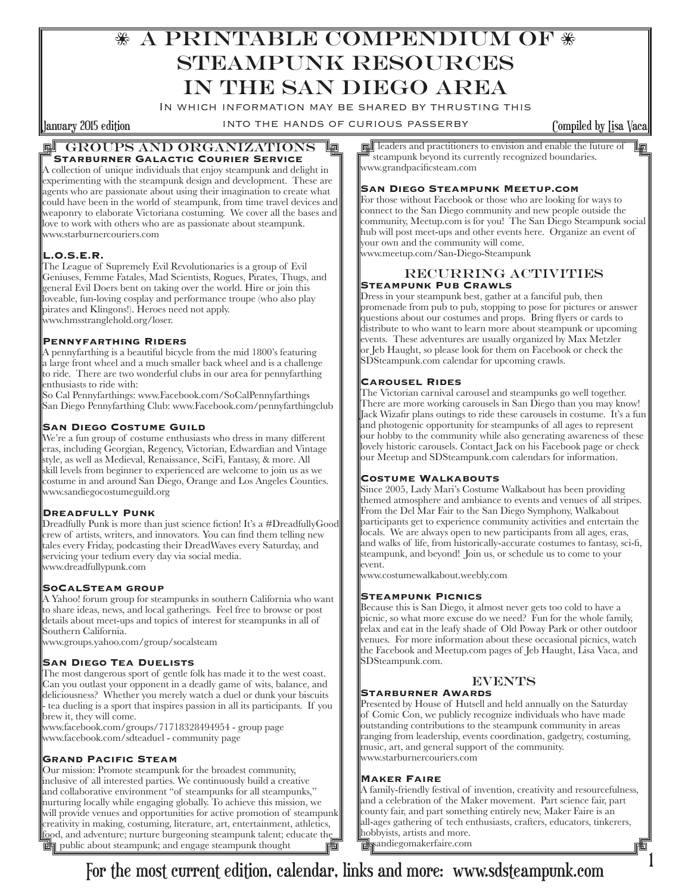## **\* A PRINTABLE COMPENDIUM OF \*** STEAMPUNK RESOURCES in the San Diego Area

In which information may be shared by thrusting this

January 2015 edition **INTO THE HANDS OF CURIOUS PASSERBY** [ompiled by <u>[i</u>sa Vaca

#### Groups and Organizations **Starburner Galactic Courier Service**

A collection of unique individuals that enjoy steampunk and delight in experimenting with the steampunk design and development. These are agents who are passionate about using their imagination to create what could have been in the world of steampunk, from time travel devices and weaponry to elaborate Victoriana costuming. We cover all the bases and love to work with others who are as passionate about steampunk. www.starburnercouriers.com

#### **L.O.S.E.R.**

The League of Supremely Evil Revolutionaries is a group of Evil Geniuses, Femme Fatales, Mad Scientists, Rogues, Pirates, Thugs, and general Evil Doers bent on taking over the world. Hire or join this loveable, fun-loving cosplay and performance troupe (who also play pirates and Klingons!). Heroes need not apply. www.hmsstranglehold.org/loser.

#### **Pennyfarthing Riders**

A pennyfarthing is a beautiful bicycle from the mid 1800's featuring a large front wheel and a much smaller back wheel and is a challenge to ride. There are two wonderful clubs in our area for pennyfarthing enthusiasts to ride with:

So Cal Pennyfarthings: www.Facebook.com/SoCalPennyfarthings San Diego Pennyfarthing Club: www.Facebook.com/pennyfarthingclub

#### **San Diego Costume Guild**

We're a fun group of costume enthusiasts who dress in many different eras, including Georgian, Regency, Victorian, Edwardian and Vintage style, as well as Medieval, Renaissance, SciFi, Fantasy, & more. All skill levels from beginner to experienced are welcome to join us as we costume in and around San Diego, Orange and Los Angeles Counties. www.sandiegocostumeguild.org

#### **Dreadfully Punk**

Dreadfully Punk is more than just science fiction! It's a #DreadfullyGood crew of artists, writers, and innovators. You can find them telling new tales every Friday, podcasting their DreadWaves every Saturday, and servicing your tedium every day via social media. www.dreadfullypunk.com

#### **SoCalSteam group**

A Yahoo! forum group for steampunks in southern California who want to share ideas, news, and local gatherings. Feel free to browse or post details about meet-ups and topics of interest for steampunks in all of Southern California.

www.groups.yahoo.com/group/socalsteam

#### **San Diego Tea Duelists**

The most dangerous sport of gentle folk has made it to the west coast. Can you outlast your opponent in a deadly game of wits, balance, and deliciousness? Whether you merely watch a duel or dunk your biscuits - tea dueling is a sport that inspires passion in all its participants. If you brew it, they will come.

www.facebook.com/groups/71718328494954 - group page www.facebook.com/sdteaduel - community page

#### **Grand Pacific Steam**

Our mission: Promote steampunk for the broadest community, inclusive of all interested parties. We continuously build a creative and collaborative environment "of steampunks for all steampunks," nurturing locally while engaging globally. To achieve this mission, we will provide venues and opportunities for active promotion of steampunk creativity in making, costuming, literature, art, entertainment, athletics, <u>fo</u>od, and adventure; nurture burgeoning steampunk talent; educate the public about steampunk; and engage steampunk thought

leaders and practitioners to envision and enable the future of steampunk beyond its currently recognized boundaries. www.grandpacificsteam.com

#### **San Diego Steampunk Meetup.com**

For those without Facebook or those who are looking for ways to connect to the San Diego community and new people outside the community, Meetup.com is for you! The San Diego Steampunk social hub will post meet-ups and other events here. Organize an event of your own and the community will come. www.meetup.com/San-Diego-Steampunk

#### recurring activities **Steampunk Pub Crawls**

Dress in your steampunk best, gather at a fanciful pub, then promenade from pub to pub, stopping to pose for pictures or answer questions about our costumes and props. Bring flyers or cards to distribute to who want to learn more about steampunk or upcoming events. These adventures are usually organized by Max Metzler or Jeb Haught, so please look for them on Facebook or check the SDSteampunk.com calendar for upcoming crawls.

#### **Carousel Rides**

The Victorian carnival carousel and steampunks go well together. There are more working carousels in San Diego than you may know! Jack Wizafir plans outings to ride these carousels in costume. It's a fun and photogenic opportunity for steampunks of all ages to represent our hobby to the community while also generating awareness of these lovely historic carousels. Contact Jack on his Facebook page or check our Meetup and SDSteampunk.com calendars for information.

#### **Costume Walkabouts**

Since 2005, Lady Mari's Costume Walkabout has been providing themed atmosphere and ambiance to events and venues of all stripes. From the Del Mar Fair to the San Diego Symphony, Walkabout participants get to experience community activities and entertain the locals. We are always open to new participants from all ages, eras, and walks of life, from historically-accurate costumes to fantasy, sci-fi, steampunk, and beyond! Join us, or schedule us to come to your event.

www.costumewalkabout.weebly.com

#### **Steampunk Picnics**

Because this is San Diego, it almost never gets too cold to have a picnic, so what more excuse do we need? Fun for the whole family, relax and eat in the leafy shade of Old Poway Park or other outdoor venues. For more information about these occasional picnics, watch the Facebook and Meetup.com pages of Jeb Haught, Lisa Vaca, and SDSteampunk.com.

#### **EVENTS**

#### **Starburner Awards** Presented by House of Hutsell and held annually on the Saturday of Comic Con, we publicly recognize individuals who have made outstanding contributions to the steampunk community in areas ranging from leadership, events coordination, gadgetry, costuming, music, art, and general support of the community. www.starburnercouriers.com

#### **Maker Faire**

A family-friendly festival of invention, creativity and resourcefulness, and a celebration of the Maker movement. Part science fair, part county fair, and part something entirely new, Maker Faire is an all-ages gathering of tech enthusiasts, crafters, educators, tinkerers, hobbyists, artists and more. sandiegomakerfaire.com

For the most current edition, calendar, links and more: www.sdsteampunk.com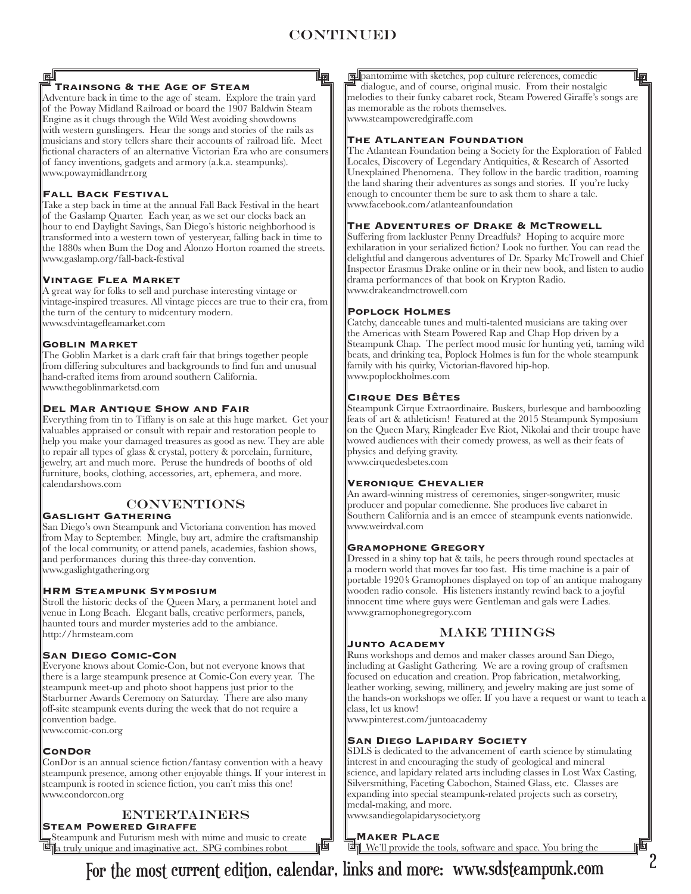#### **Trainsong & the Age of Steam**

Adventure back in time to the age of steam. Explore the train yard of the Poway Midland Railroad or board the 1907 Baldwin Steam Engine as it chugs through the Wild West avoiding showdowns with western gunslingers. Hear the songs and stories of the rails as musicians and story tellers share their accounts of railroad life. Meet fictional characters of an alternative Victorian Era who are consumers of fancy inventions, gadgets and armory (a.k.a. steampunks). www.powaymidlandrr.org

#### **Fall Back Festival**

Take a step back in time at the annual Fall Back Festival in the heart of the Gaslamp Quarter. Each year, as we set our clocks back an hour to end Daylight Savings, San Diego's historic neighborhood is transformed into a western town of yesteryear, falling back in time to the 1880s when Bum the Dog and Alonzo Horton roamed the streets. www.gaslamp.org/fall-back-festival

#### **Vintage Flea Market**

A great way for folks to sell and purchase interesting vintage or vintage-inspired treasures. All vintage pieces are true to their era, from the turn of the century to midcentury modern. www.sdvintagefleamarket.com

#### **Goblin Market**

The Goblin Market is a dark craft fair that brings together people from differing subcultures and backgrounds to find fun and unusual hand-crafted items from around southern California. www.thegoblinmarketsd.com

#### **Del Mar Antique Show and Fair**

Everything from tin to Tiffany is on sale at this huge market. Get your valuables appraised or consult with repair and restoration people to help you make your damaged treasures as good as new. They are able to repair all types of glass & crystal, pottery & porcelain, furniture, jewelry, art and much more. Peruse the hundreds of booths of old furniture, books, clothing, accessories, art, ephemera, and more. calendarshows.com

#### **CONVENTIONS**

#### **Gaslight Gathering**

San Diego's own Steampunk and Victoriana convention has moved from May to September. Mingle, buy art, admire the craftsmanship of the local community, or attend panels, academies, fashion shows, and performances during this three-day convention. www.gaslightgathering.org

#### **HRM Steampunk Symposium**

Stroll the historic decks of the Queen Mary, a permanent hotel and venue in Long Beach. Elegant balls, creative performers, panels, haunted tours and murder mysteries add to the ambiance. http://hrmsteam.com

#### **San Diego Comic-Con**

Everyone knows about Comic-Con, but not everyone knows that there is a large steampunk presence at Comic-Con every year. The steampunk meet-up and photo shoot happens just prior to the Starburner Awards Ceremony on Saturday. There are also many off-site steampunk events during the week that do not require a convention badge. www.comic-con.org

**ConDor**

ConDor is an annual science fiction/fantasy convention with a heavy steampunk presence, among other enjoyable things. If your interest in steampunk is rooted in science fiction, you can't miss this one! www.condorcon.org

#### Entertainers

**STEAM POWERED GIRAFFE** Steampunk and Futurism mesh with mime and music to create **Combing** a truly unique and imaginative act. SPG combines robot

pantomime with sketches, pop culture references, comedic dialogue, and of course, original music. From their nostalgic melodies to their funky cabaret rock, Steam Powered Giraffe's songs are as memorable as the robots themselves. www.steampoweredgiraffe.com

#### **The Atlantean Foundation**

The Atlantean Foundation being a Society for the Exploration of Fabled Locales, Discovery of Legendary Antiquities, & Research of Assorted Unexplained Phenomena. They follow in the bardic tradition, roaming the land sharing their adventures as songs and stories. If you're lucky enough to encounter them be sure to ask them to share a tale. www.facebook.com/atlanteanfoundation

#### **The Adventures of Drake & McTrowell**

Suffering from lackluster Penny Dreadfuls? Hoping to acquire more exhilaration in your serialized fiction? Look no further. You can read the delightful and dangerous adventures of Dr. Sparky McTrowell and Chief Inspector Erasmus Drake online or in their new book, and listen to audio drama performances of that book on Krypton Radio. www.drakeandmctrowell.com

#### **Poplock Holmes**

Catchy, danceable tunes and multi-talented musicians are taking over the Americas with Steam Powered Rap and Chap Hop driven by a Steampunk Chap. The perfect mood music for hunting yeti, taming wild beats, and drinking tea, Poplock Holmes is fun for the whole steampunk family with his quirky, Victorian-flavored hip-hop. www.poplockholmes.com

#### **Cirque Des Bêtes**

Steampunk Cirque Extraordinaire. Buskers, burlesque and bamboozling feats of art & athleticism! Featured at the 2015 Steampunk Symposium on the Queen Mary, Ringleader Eve Riot, Nikolai and their troupe have wowed audiences with their comedy prowess, as well as their feats of physics and defying gravity. www.cirquedesbetes.com

#### **Veronique Chevalier**

An award-winning mistress of ceremonies, singer-songwriter, music producer and popular comedienne. She produces live cabaret in Southern California and is an emcee of steampunk events nationwide. www.weirdval.com

#### **Gramophone Gregory**

Dressed in a shiny top hat & tails, he peers through round spectacles at a modern world that moves far too fast. His time machine is a pair of portable 1920's Gramophones displayed on top of an antique mahogany wooden radio console. His listeners instantly rewind back to a joyful innocent time where guys were Gentleman and gals were Ladies. www.gramophonegregory.com

#### Make Things

#### **Junto Academy**

Runs workshops and demos and maker classes around San Diego, including at Gaslight Gathering. We are a roving group of craftsmen focused on education and creation. Prop fabrication, metalworking, leather working, sewing, millinery, and jewelry making are just some of the hands-on workshops we offer. If you have a request or want to teach a class, let us know!

www.pinterest.com/juntoacademy

#### **San Diego Lapidary Society**

SDLS is dedicated to the advancement of earth science by stimulating interest in and encouraging the study of geological and mineral science, and lapidary related arts including classes in Lost Wax Casting, Silversmithing, Faceting Cabochon, Stained Glass, etc. Classes are expanding into special steampunk-related projects such as corsetry, medal-making, and more.

www.sandiegolapidarysociety.org

#### **Maker Place**

**MAKER PLACE**<br><u>In We'll provide the tools, software and space. You bring the</u>

For the most current edition, calendar, links and more: www.sdsteampunk.com

庮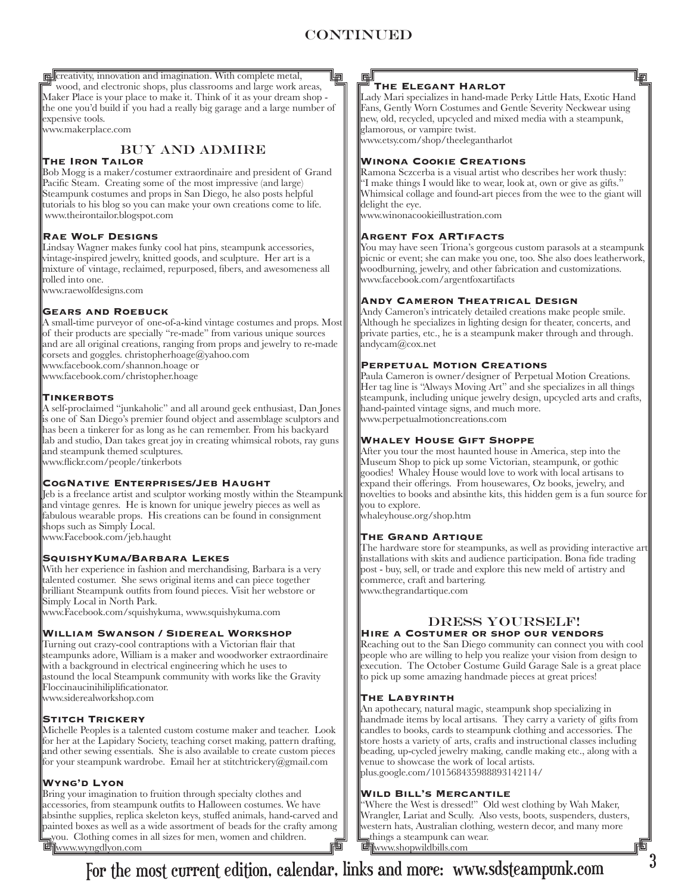## **CONTINUED**

**Exercity**, innovation and imagination. With complete metal, wood, and electronic shops, plus classrooms and large work areas, Maker Place is your place to make it. Think of it as your dream shop the one you'd build if you had a really big garage and a large number of expensive tools.

www.makerplace.com

## Buy AND Admire

#### **The Iron Tailor**

Bob Mogg is a maker/costumer extraordinaire and president of Grand Pacific Steam. Creating some of the most impressive (and large) Steampunk costumes and props in San Diego, he also posts helpful tutorials to his blog so you can make your own creations come to life. www.theirontailor.blogspot.com

#### **Rae Wolf Designs**

Lindsay Wagner makes funky cool hat pins, steampunk accessories, vintage-inspired jewelry, knitted goods, and sculpture. Her art is a mixture of vintage, reclaimed, repurposed, fibers, and awesomeness all rolled into one.

www.raewolfdesigns.com

#### **Gears and Roebuck**

A small-time purveyor of one-of-a-kind vintage costumes and props. Most of their products are specially "re-made" from various unique sources and are all original creations, ranging from props and jewelry to re-made corsets and goggles. christopherhoage@yahoo.com www.facebook.com/shannon.hoage or www.facebook.com/christopher.hoage

#### **Tinkerbots**

A self-proclaimed "junkaholic" and all around geek enthusiast, Dan Jones is one of San Diego's premier found object and assemblage sculptors and has been a tinkerer for as long as he can remember. From his backyard lab and studio, Dan takes great joy in creating whimsical robots, ray guns and steampunk themed sculptures. www.flickr.com/people/tinkerbots

#### **CogNative Enterprises/Jeb Haught**

Jeb is a freelance artist and sculptor working mostly within the Steampunk and vintage genres. He is known for unique jewelry pieces as well as fabulous wearable props. His creations can be found in consignment shops such as Simply Local. www.Facebook.com/jeb.haught

#### **SquishyKuma/Barbara Lekes**

With her experience in fashion and merchandising, Barbara is a very talented costumer. She sews original items and can piece together brilliant Steampunk outfits from found pieces. Visit her webstore or Simply Local in North Park.

www.Facebook.com/squishykuma, www.squishykuma.com

#### **William Swanson / Sidereal Workshop**

Turning out crazy-cool contraptions with a Victorian flair that steampunks adore, William is a maker and woodworker extraordinaire with a background in electrical engineering which he uses to astound the local Steampunk community with works like the Gravity Floccinaucinihiliplificationator. www.siderealworkshop.com

#### **Stitch Trickery**

Michelle Peoples is a talented custom costume maker and teacher. Look for her at the Lapidary Society, teaching corset making, pattern drafting, and other sewing essentials. She is also available to create custom pieces for your steampunk wardrobe. Email her at stitchtrickery@gmail.com

#### **Wyng'd Lyon**

Bring your imagination to fruition through specialty clothes and accessories, from steampunk outfits to Halloween costumes. We have absinthe supplies, replica skeleton keys, stuffed animals, hand-carved and painted boxes as well as a wide assortment of beads for the crafty among you. Clothing comes in all sizes for men, women and children. 画www.wyngdlyon.com

# **THE ELEGANT HARLOT**

Lady Mari specializes in hand-made Perky Little Hats, Exotic Hand Fans, Gently Worn Costumes and Gentle Severity Neckwear using new, old, recycled, upcycled and mixed media with a steampunk, glamorous, or vampire twist.

www.etsy.com/shop/theelegantharlot

#### **Winona Cookie Creations**

Ramona Sczcerba is a visual artist who describes her work thusly: "I make things I would like to wear, look at, own or give as gifts." Whimsical collage and found-art pieces from the wee to the giant will delight the eye.

www.winonacookieillustration.com

#### **Argent Fox ARTifacts**

You may have seen Triona's gorgeous custom parasols at a steampunk picnic or event; she can make you one, too. She also does leatherwork, woodburning, jewelry, and other fabrication and customizations. www.facebook.com/argentfoxartifacts

#### **Andy Cameron Theatrical Design**

Andy Cameron's intricately detailed creations make people smile. Although he specializes in lighting design for theater, concerts, and private parties, etc., he is a steampunk maker through and through. andycam@cox.net

#### **Perpetual Motion Creations**

Paula Cameron is owner/designer of Perpetual Motion Creations. Her tag line is "Always Moving Art" and she specializes in all things steampunk, including unique jewelry design, upcycled arts and crafts, hand-painted vintage signs, and much more. www.perpetualmotioncreations.com

#### **Whaley House Gift Shoppe**

After you tour the most haunted house in America, step into the Museum Shop to pick up some Victorian, steampunk, or gothic goodies! Whaley House would love to work with local artisans to expand their offerings. From housewares, Oz books, jewelry, and novelties to books and absinthe kits, this hidden gem is a fun source for you to explore.

whaleyhouse.org/shop.htm

#### **The Grand Artique**

The hardware store for steampunks, as well as providing interactive art installations with skits and audience participation. Bona fide trading post - buy, sell, or trade and explore this new meld of artistry and commerce, craft and bartering. www.thegrandartique.com

#### Dress Yourself! **Hire a Costumer or shop our vendors**

Reaching out to the San Diego community can connect you with cool people who are willing to help you realize your vision from design to execution. The October Costume Guild Garage Sale is a great place to pick up some amazing handmade pieces at great prices!

#### **The Labyrinth**

An apothecary, natural magic, steampunk shop specializing in handmade items by local artisans. They carry a variety of gifts from candles to books, cards to steampunk clothing and accessories. The store hosts a variety of arts, crafts and instructional classes including beading, up-cycled jewelry making, candle making etc., along with a venue to showcase the work of local artists. plus.google.com/101568435988893142114/

#### **Wild Bill's Mercantile**

"Where the West is dressed!" Old west clothing by Wah Maker, Wrangler, Lariat and Scully. Also vests, boots, suspenders, dusters, western hats, Australian clothing, western decor, and many more things a steampunk can wear. www.shopwildbills.com

For the most current edition, calendar, links and more: www.sdsteampunk.com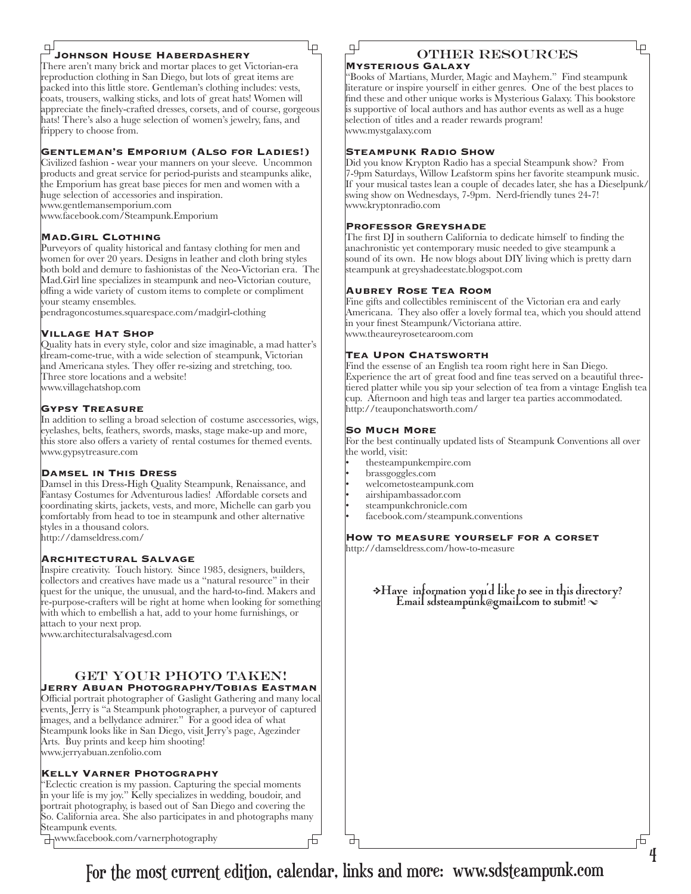## **Johnson House Haberdashery**

There aren't many brick and mortar places to get Victorian-era reproduction clothing in San Diego, but lots of great items are packed into this little store. Gentleman's clothing includes: vests, coats, trousers, walking sticks, and lots of great hats! Women will appreciate the finely-crafted dresses, corsets, and of course, gorgeous hats! There's also a huge selection of women's jewelry, fans, and frippery to choose from.

#### **Gentleman's Emporium (Also for Ladies!)**

Civilized fashion - wear your manners on your sleeve. Uncommon products and great service for period-purists and steampunks alike, the Emporium has great base pieces for men and women with a huge selection of accessories and inspiration. www.gentlemansemporium.com

www.facebook.com/Steampunk.Emporium

#### **Mad.Girl Clothing**

Purveyors of quality historical and fantasy clothing for men and women for over 20 years. Designs in leather and cloth bring styles both bold and demure to fashionistas of the Neo-Victorian era. The Mad.Girl line specializes in steampunk and neo-Victorian couture, offing a wide variety of custom items to complete or compliment your steamy ensembles.

pendragoncostumes.squarespace.com/madgirl-clothing

#### **Village Hat Shop**

Quality hats in every style, color and size imaginable, a mad hatter's dream-come-true, with a wide selection of steampunk, Victorian and Americana styles. They offer re-sizing and stretching, too. Three store locations and a website! www.villagehatshop.com

#### **Gypsy Treasure**

In addition to selling a broad selection of costume asccessories, wigs, eyelashes, belts, feathers, swords, masks, stage make-up and more, this store also offers a variety of rental costumes for themed events. www.gypsytreasure.com

#### **Damsel in This Dress**

Damsel in this Dress-High Quality Steampunk, Renaissance, and Fantasy Costumes for Adventurous ladies! Affordable corsets and coordinating skirts, jackets, vests, and more, Michelle can garb you comfortably from head to toe in steampunk and other alternative styles in a thousand colors. http://damseldress.com/

#### **Architectural Salvage**

Inspire creativity. Touch history. Since 1985, designers, builders, collectors and creatives have made us a "natural resource" in their quest for the unique, the unusual, and the hard-to-find. Makers and re-purpose-crafters will be right at home when looking for something with which to embellish a hat, add to your home furnishings, or attach to your next prop.

www.architecturalsalvagesd.com

#### GET YOUR PHOTO TAKEN! **Jerry Abuan Photography/Tobias Eastman**

Official portrait photographer of Gaslight Gathering and many local events, Jerry is "a Steampunk photographer, a purveyor of captured images, and a bellydance admirer." For a good idea of what Steampunk looks like in San Diego, visit Jerry's page, Agezinder Arts. Buy prints and keep him shooting! www.jerryabuan.zenfolio.com

#### **Kelly Varner Photography**

"Eclectic creation is my passion. Capturing the special moments in your life is my joy." Kelly specializes in wedding, boudoir, and portrait photography, is based out of San Diego and covering the So. California area. She also participates in and photographs many Steampunk events.

www.facebook.com/varnerphotography

### ⋥

Ļρ

#### Other Resources **Mysterious Galaxy**

"Books of Martians, Murder, Magic and Mayhem." Find steampunk literature or inspire yourself in either genres. One of the best places to find these and other unique works is Mysterious Galaxy. This bookstore is supportive of local authors and has author events as well as a huge selection of titles and a reader rewards program! www.mystgalaxy.com

#### **Steampunk Radio Show**

Did you know Krypton Radio has a special Steampunk show? From 7-9pm Saturdays, Willow Leafstorm spins her favorite steampunk music. If your musical tastes lean a couple of decades later, she has a Dieselpunk/ swing show on Wednesdays, 7-9pm. Nerd-friendly tunes 24-7! www.kryptonradio.com

#### **Professor Greyshade**

The first DJ in southern California to dedicate himself to finding the anachronistic yet contemporary music needed to give steampunk a sound of its own. He now blogs about DIY living which is pretty darn steampunk at greyshadeestate.blogspot.com

#### **Aubrey Rose Tea Room**

Fine gifts and collectibles reminiscent of the Victorian era and early Americana. They also offer a lovely formal tea, which you should attend in your finest Steampunk/Victoriana attire. www.theaureyrosetearoom.com

#### **Tea Upon Chatsworth**

Find the essense of an English tea room right here in San Diego. Experience the art of great food and fine teas served on a beautiful threetiered platter while you sip your selection of tea from a vintage English tea cup. Afternoon and high teas and larger tea parties accommodated. http://teauponchatsworth.com/

#### **So Much More**

For the best continually updated lists of Steampunk Conventions all over the world, visit:

- thesteampunkempire.com
- brassgoggles.com
- welcometosteampunk.com
- airshipambassador.com
- steampunkchronicle.com
- facebook.com/steampunk.conventions

#### **How to measure yourself for a corset**

http://damseldress.com/how-to-measure

<sup>A</sup>Have information you'd like to see in this directory? Email sdsteampunk@gmail.com to submit! <sup>L</sup>

For the most current edition, calendar, links and more: www.sdsteampunk.com

市